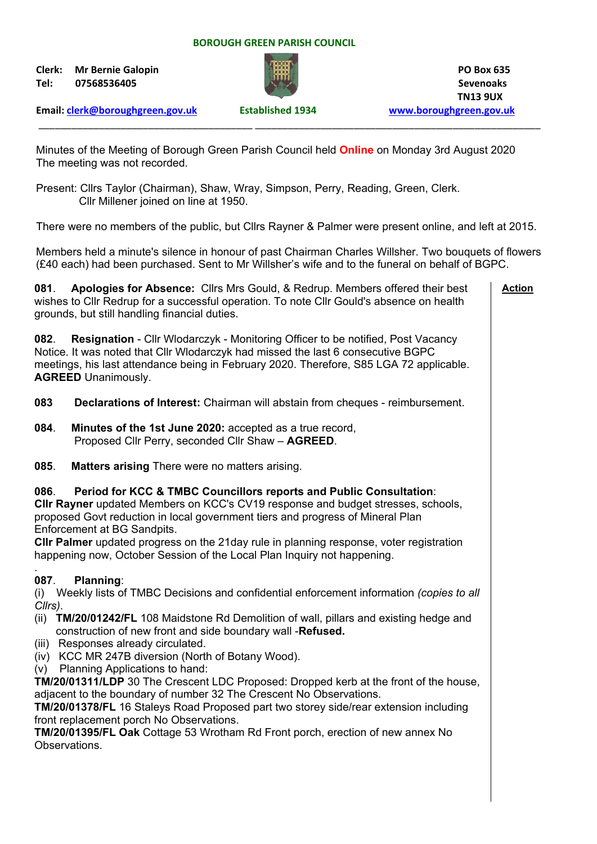## **BOROUGH GREEN PARISH COUNCIL**

**Clerk:** Mr Bernie Galopin **PO Box 635 Tel: 07568536405 Sevenoaks**



**Email: [clerk@boroughgreen.gov.uk](mailto:clerk@boroughgreen.gov.uk) Established 1934 [www.boroughgreen.gov.uk](http://www.boroughgreen.gov.uk/)**

Minutes of the Meeting of Borough Green Parish Council held **Online** on Monday 3rd August 2020 The meeting was not recorded.

\_\_\_\_\_\_\_\_\_\_\_\_\_\_\_\_\_\_\_\_\_\_\_\_\_\_\_\_\_\_\_\_\_\_\_\_\_\_\_ \_\_\_\_\_\_\_\_\_\_\_\_\_\_\_\_\_\_\_\_\_\_\_\_\_\_\_\_\_\_\_\_\_\_\_\_\_\_\_\_\_\_\_\_\_\_\_\_\_\_\_\_

Present: Cllrs Taylor (Chairman), Shaw, Wray, Simpson, Perry, Reading, Green, Clerk. Cllr Millener joined on line at 1950.

There were no members of the public, but Cllrs Rayner & Palmer were present online, and left at 2015.

Members held a minute's silence in honour of past Chairman Charles Willsher. Two bouquets of flowers (£40 each) had been purchased. Sent to Mr Willsher's wife and to the funeral on behalf of BGPC.

| Apologies for Absence: Cllrs Mrs Gould, & Redrup. Members offered their best<br>081.<br>wishes to CIIr Redrup for a successful operation. To note CIIr Gould's absence on health<br>grounds, but still handling financial duties.                                                                                                                                                                                                                                                                                                                                                                                                                                                                                                                                                                                                 | <b>Action</b> |
|-----------------------------------------------------------------------------------------------------------------------------------------------------------------------------------------------------------------------------------------------------------------------------------------------------------------------------------------------------------------------------------------------------------------------------------------------------------------------------------------------------------------------------------------------------------------------------------------------------------------------------------------------------------------------------------------------------------------------------------------------------------------------------------------------------------------------------------|---------------|
| 082.<br><b>Resignation</b> - Cllr Wlodarczyk - Monitoring Officer to be notified, Post Vacancy<br>Notice. It was noted that Cllr Wlodarczyk had missed the last 6 consecutive BGPC<br>meetings, his last attendance being in February 2020. Therefore, S85 LGA 72 applicable.<br><b>AGREED Unanimously.</b>                                                                                                                                                                                                                                                                                                                                                                                                                                                                                                                       |               |
| Declarations of Interest: Chairman will abstain from cheques - reimbursement.<br>083                                                                                                                                                                                                                                                                                                                                                                                                                                                                                                                                                                                                                                                                                                                                              |               |
| 084.<br>Minutes of the 1st June 2020: accepted as a true record,<br>Proposed Cllr Perry, seconded Cllr Shaw - AGREED.                                                                                                                                                                                                                                                                                                                                                                                                                                                                                                                                                                                                                                                                                                             |               |
| 085.<br><b>Matters arising There were no matters arising.</b>                                                                                                                                                                                                                                                                                                                                                                                                                                                                                                                                                                                                                                                                                                                                                                     |               |
| Period for KCC & TMBC Councillors reports and Public Consultation:<br>086.<br>CIIr Rayner updated Members on KCC's CV19 response and budget stresses, schools,<br>proposed Govt reduction in local government tiers and progress of Mineral Plan<br>Enforcement at BG Sandpits.<br>CIIr Palmer updated progress on the 21day rule in planning response, voter registration<br>happening now, October Session of the Local Plan Inquiry not happening.                                                                                                                                                                                                                                                                                                                                                                             |               |
| 087.<br>Planning:<br>(i) Weekly lists of TMBC Decisions and confidential enforcement information (copies to all<br>Cllrs).<br>(ii) TM/20/01242/FL 108 Maidstone Rd Demolition of wall, pillars and existing hedge and<br>construction of new front and side boundary wall -Refused.<br>(iii) Responses already circulated.<br>(iv) KCC MR 247B diversion (North of Botany Wood).<br>Planning Applications to hand:<br>(V)<br>TM/20/01311/LDP 30 The Crescent LDC Proposed: Dropped kerb at the front of the house,<br>adjacent to the boundary of number 32 The Crescent No Observations.<br>TM/20/01378/FL 16 Staleys Road Proposed part two storey side/rear extension including<br>front replacement porch No Observations.<br>TM/20/01395/FL Oak Cottage 53 Wrotham Rd Front porch, erection of new annex No<br>Observations. |               |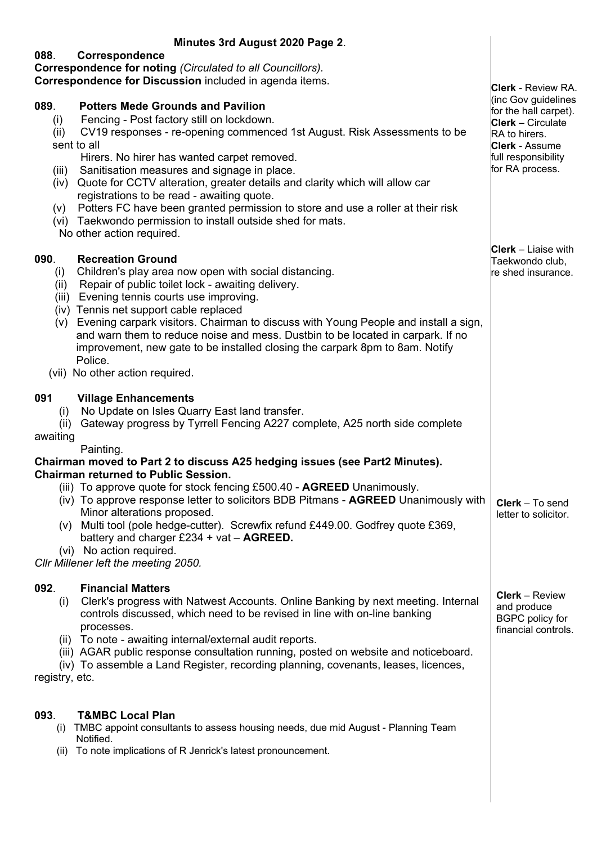| Minutes 3rd August 2020 Page 2.                                                                                                                                                                                                                                                                                                                                                                                                                                                                                                                                                                                                           |                                                                                                                                                              |
|-------------------------------------------------------------------------------------------------------------------------------------------------------------------------------------------------------------------------------------------------------------------------------------------------------------------------------------------------------------------------------------------------------------------------------------------------------------------------------------------------------------------------------------------------------------------------------------------------------------------------------------------|--------------------------------------------------------------------------------------------------------------------------------------------------------------|
| 088.<br>Correspondence<br>Correspondence for noting (Circulated to all Councillors).<br>Correspondence for Discussion included in agenda items.                                                                                                                                                                                                                                                                                                                                                                                                                                                                                           | <b>Clerk</b> - Review RA.                                                                                                                                    |
| 089.<br><b>Potters Mede Grounds and Pavilion</b><br>Fencing - Post factory still on lockdown.<br>(i)<br>CV19 responses - re-opening commenced 1st August. Risk Assessments to be<br>(ii)<br>sent to all<br>Hirers. No hirer has wanted carpet removed.<br>Sanitisation measures and signage in place.<br>(iii)<br>Quote for CCTV alteration, greater details and clarity which will allow car<br>(iv)<br>registrations to be read - awaiting quote.<br>Potters FC have been granted permission to store and use a roller at their risk<br>(v)<br>(vi) Taekwondo permission to install outside shed for mats.<br>No other action required. | (inc Gov guidelines<br>for the hall carpet).<br><b>Clerk</b> - Circulate<br>RA to hirers.<br><b>Clerk - Assume</b><br>full responsibility<br>for RA process. |
| 090.<br><b>Recreation Ground</b><br>Children's play area now open with social distancing.<br>(i)<br>Repair of public toilet lock - awaiting delivery.<br>(ii)<br>Evening tennis courts use improving.<br>(iii)<br>(iv) Tennis net support cable replaced<br>Evening carpark visitors. Chairman to discuss with Young People and install a sign,<br>(v)<br>and warn them to reduce noise and mess. Dustbin to be located in carpark. If no<br>improvement, new gate to be installed closing the carpark 8pm to 8am. Notify<br>Police.<br>(vii) No other action required.                                                                   | <b>Clerk</b> – Liaise with<br>Taekwondo club,<br>re shed insurance.                                                                                          |
| <b>Village Enhancements</b><br>091<br>No Update on Isles Quarry East land transfer.<br>(i)<br>Gateway progress by Tyrrell Fencing A227 complete, A25 north side complete<br>(ii)<br>awaiting                                                                                                                                                                                                                                                                                                                                                                                                                                              |                                                                                                                                                              |
| Painting.<br>Chairman moved to Part 2 to discuss A25 hedging issues (see Part2 Minutes).<br><b>Chairman returned to Public Session.</b><br>(iii) To approve quote for stock fencing £500.40 - <b>AGREED</b> Unanimously.<br>(iv) To approve response letter to solicitors BDB Pitmans - <b>AGREED</b> Unanimously with<br>Minor alterations proposed.<br>(v) Multi tool (pole hedge-cutter). Screwfix refund £449.00. Godfrey quote £369,<br>battery and charger $£234 + vat - AGREED$ .<br>(vi) No action required.<br>Cllr Millener left the meeting 2050.                                                                              | Clerk - To send<br>letter to solicitor.                                                                                                                      |
| <b>Financial Matters</b><br>092.<br>Clerk's progress with Natwest Accounts. Online Banking by next meeting. Internal<br>(i)<br>controls discussed, which need to be revised in line with on-line banking<br>processes.<br>(ii) To note - awaiting internal/external audit reports.<br>(iii) AGAR public response consultation running, posted on website and noticeboard.<br>(iv) To assemble a Land Register, recording planning, covenants, leases, licences,<br>registry, etc.                                                                                                                                                         | <b>Clerk</b> – Review<br>and produce<br><b>BGPC</b> policy for<br>financial controls.                                                                        |
| <b>T&amp;MBC Local Plan</b><br>093.<br>TMBC appoint consultants to assess housing needs, due mid August - Planning Team<br>(i)<br>Notified.<br>To note implications of R Jenrick's latest pronouncement.<br>(ii)                                                                                                                                                                                                                                                                                                                                                                                                                          |                                                                                                                                                              |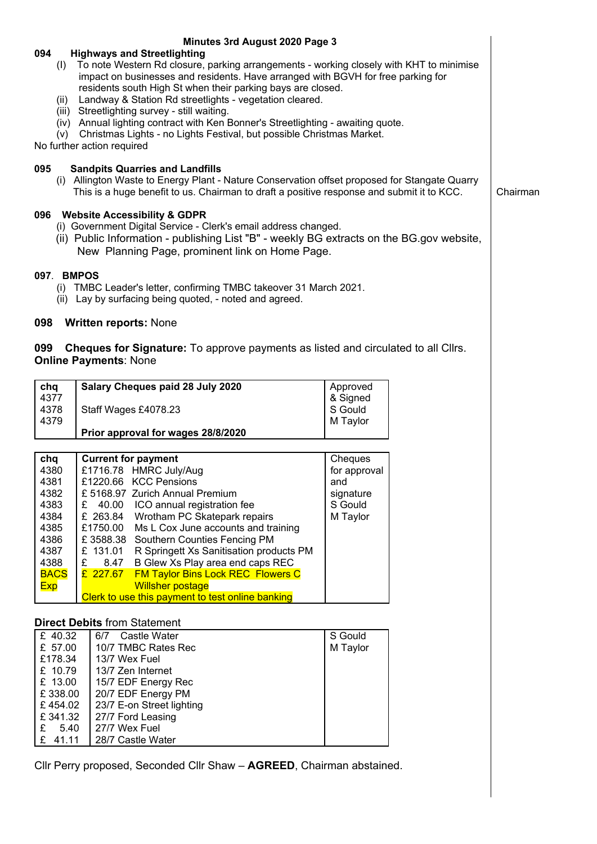|                    | Minutes 3rd August 2020 Page 3                                                                                         |                     |  |          |  |
|--------------------|------------------------------------------------------------------------------------------------------------------------|---------------------|--|----------|--|
| 094                | <b>Highways and Streetlighting</b>                                                                                     |                     |  |          |  |
|                    | (I) To note Western Rd closure, parking arrangements - working closely with KHT to minimise                            |                     |  |          |  |
|                    | impact on businesses and residents. Have arranged with BGVH for free parking for                                       |                     |  |          |  |
| (ii)               | residents south High St when their parking bays are closed.<br>Landway & Station Rd streetlights - vegetation cleared. |                     |  |          |  |
|                    | (iii) Streetlighting survey - still waiting.                                                                           |                     |  |          |  |
|                    | (iv) Annual lighting contract with Ken Bonner's Streetlighting - awaiting quote.                                       |                     |  |          |  |
| (v)                | Christmas Lights - no Lights Festival, but possible Christmas Market.                                                  |                     |  |          |  |
|                    | No further action required                                                                                             |                     |  |          |  |
|                    |                                                                                                                        |                     |  |          |  |
| 095                | <b>Sandpits Quarries and Landfills</b>                                                                                 |                     |  |          |  |
|                    | (i) Allington Waste to Energy Plant - Nature Conservation offset proposed for Stangate Quarry                          |                     |  |          |  |
|                    | This is a huge benefit to us. Chairman to draft a positive response and submit it to KCC.                              |                     |  | Chairman |  |
|                    | 096 Website Accessibility & GDPR                                                                                       |                     |  |          |  |
|                    | (i) Government Digital Service - Clerk's email address changed.                                                        |                     |  |          |  |
|                    | (ii) Public Information - publishing List "B" - weekly BG extracts on the BG.gov website,                              |                     |  |          |  |
|                    | New Planning Page, prominent link on Home Page.                                                                        |                     |  |          |  |
|                    |                                                                                                                        |                     |  |          |  |
| 097. BMPOS         |                                                                                                                        |                     |  |          |  |
|                    | (i) TMBC Leader's letter, confirming TMBC takeover 31 March 2021.                                                      |                     |  |          |  |
|                    | (ii) Lay by surfacing being quoted, - noted and agreed.                                                                |                     |  |          |  |
|                    |                                                                                                                        |                     |  |          |  |
| 098                | <b>Written reports: None</b>                                                                                           |                     |  |          |  |
|                    |                                                                                                                        |                     |  |          |  |
| 099                | <b>Cheques for Signature:</b> To approve payments as listed and circulated to all Cllrs.                               |                     |  |          |  |
|                    | <b>Online Payments: None</b>                                                                                           |                     |  |          |  |
|                    |                                                                                                                        |                     |  |          |  |
| chq                | Salary Cheques paid 28 July 2020                                                                                       | Approved            |  |          |  |
| 4377<br>4378       | Staff Wages £4078.23                                                                                                   | & Signed<br>S Gould |  |          |  |
| 4379               |                                                                                                                        | M Taylor            |  |          |  |
|                    | Prior approval for wages 28/8/2020                                                                                     |                     |  |          |  |
|                    |                                                                                                                        |                     |  |          |  |
| chq                | <b>Current for payment</b>                                                                                             | Cheques             |  |          |  |
| 4380               | £1716.78 HMRC July/Aug                                                                                                 | for approval        |  |          |  |
| 4381               | £1220.66 KCC Pensions                                                                                                  | and                 |  |          |  |
| 4382               | £ 5168.97 Zurich Annual Premium                                                                                        | signature           |  |          |  |
| 4383<br>£          | 40.00<br>ICO annual registration fee                                                                                   | S Gould             |  |          |  |
| 4384               | £ 263.84<br>Wrotham PC Skatepark repairs                                                                               | M Taylor            |  |          |  |
| 4385               | £1750.00<br>Ms L Cox June accounts and training                                                                        |                     |  |          |  |
| 4386               | £3588.38<br>Southern Counties Fencing PM                                                                               |                     |  |          |  |
| 4387<br>4388<br>£  | £ 131.01<br>R Springett Xs Sanitisation products PM<br>B Glew Xs Play area end caps REC<br>8.47                        |                     |  |          |  |
| <b>BACS</b>        | £ 227.67<br><b>FM Taylor Bins Lock REC Flowers C</b>                                                                   |                     |  |          |  |
| <b>Exp</b>         | <b>Willsher postage</b>                                                                                                |                     |  |          |  |
|                    | Clerk to use this payment to test online banking                                                                       |                     |  |          |  |
|                    |                                                                                                                        |                     |  |          |  |
|                    | <b>Direct Debits from Statement</b>                                                                                    |                     |  |          |  |
| £ 40.32            | Castle Water<br>6/7                                                                                                    | S Gould             |  |          |  |
| £ 57.00            | 10/7 TMBC Rates Rec                                                                                                    | M Taylor            |  |          |  |
| £178.34            | 13/7 Wex Fuel                                                                                                          |                     |  |          |  |
| £ 10.79            | 13/7 Zen Internet                                                                                                      |                     |  |          |  |
| £ 13.00            | 15/7 EDF Energy Rec                                                                                                    |                     |  |          |  |
| £338.00            | 20/7 EDF Energy PM                                                                                                     |                     |  |          |  |
| £454.02<br>£341.32 | 23/7 E-on Street lighting<br>27/7 Ford Leasing                                                                         |                     |  |          |  |
| £<br>5.40          | 27/7 Wex Fuel                                                                                                          |                     |  |          |  |
| £<br>41.11         | 28/7 Castle Water                                                                                                      |                     |  |          |  |

Cllr Perry proposed, Seconded Cllr Shaw – **AGREED**, Chairman abstained.